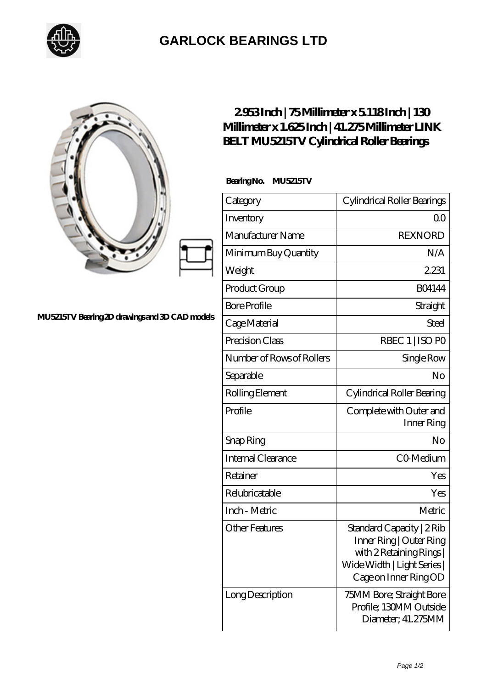

## **[GARLOCK BEARINGS LTD](https://m.letterstopriests.com)**

## **[MU5215TV Bearing 2D drawings and 3D CAD models](https://m.letterstopriests.com/pic-188513.html)**

## **[2.953 Inch | 75 Millimeter x 5.118 Inch | 130](https://m.letterstopriests.com/aI-188513-link-belt-mu5215tv-cylindrical-roller-bearings.html) [Millimeter x 1.625 Inch | 41.275 Millimeter LINK](https://m.letterstopriests.com/aI-188513-link-belt-mu5215tv-cylindrical-roller-bearings.html) [BELT MU5215TV Cylindrical Roller Bearings](https://m.letterstopriests.com/aI-188513-link-belt-mu5215tv-cylindrical-roller-bearings.html)**

 **Bearing No. MU5215TV**

| Category                  | Cylindrical Roller Bearings                                                                                                            |
|---------------------------|----------------------------------------------------------------------------------------------------------------------------------------|
| Inventory                 | Q0                                                                                                                                     |
| Manufacturer Name         | <b>REXNORD</b>                                                                                                                         |
| Minimum Buy Quantity      | N/A                                                                                                                                    |
| Weight                    | 2231                                                                                                                                   |
| Product Group             | <b>BO4144</b>                                                                                                                          |
| <b>Bore Profile</b>       | Straight                                                                                                                               |
| Cage Material             | Steel                                                                                                                                  |
| Precision Class           | RBEC 1   ISO PO                                                                                                                        |
| Number of Rows of Rollers | Single Row                                                                                                                             |
| Separable                 | No                                                                                                                                     |
| Rolling Element           | Cylindrical Roller Bearing                                                                                                             |
| Profile                   | Complete with Outer and<br>Inner Ring                                                                                                  |
| Snap Ring                 | No                                                                                                                                     |
| Internal Clearance        | CO-Medium                                                                                                                              |
| Retainer                  | Yes                                                                                                                                    |
| Relubricatable            | Yes                                                                                                                                    |
| Inch - Metric             | Metric                                                                                                                                 |
| <b>Other Features</b>     | Standard Capacity   2 Rib<br>Inner Ring   Outer Ring<br>with 2 Retaining Rings<br>Wide Width   Light Series  <br>Cage on Inner Ring OD |
| Long Description          | 75MM Bore; Straight Bore<br>Profile; 130MM Outside<br>Diameter; 41.275MM                                                               |